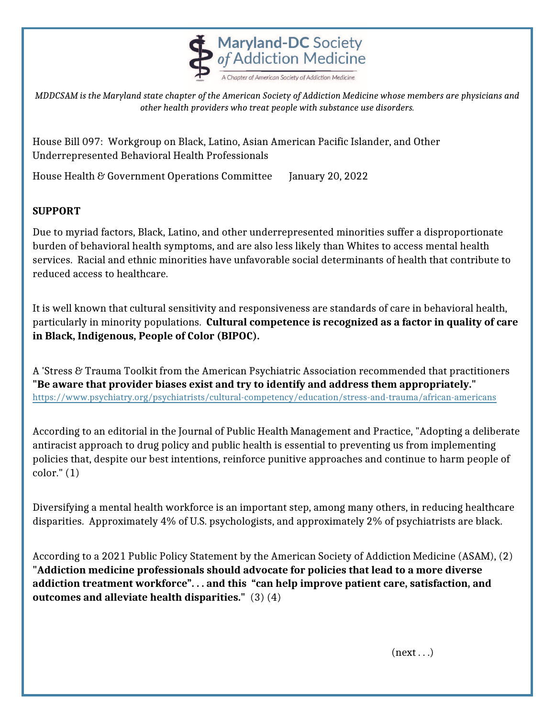

*MDDCSAM is the Maryland state chapter of the American Society of Addiction Medicine whose members are physicians and other health providers who treat people with substance use disorders.*

House Bill 097: Workgroup on Black, Latino, Asian American Pacific Islander, and Other Underrepresented Behavioral Health Professionals

House Health & Government Operations Committee January 20, 2022

## **SUPPORT**

Due to myriad factors, Black, Latino, and other underrepresented minorities suffer a disproportionate burden of behavioral health symptoms, and are also less likely than Whites to access mental health services. Racial and ethnic minorities have unfavorable social determinants of health that contribute to reduced access to healthcare.

It is well known that cultural sensitivity and responsiveness are standards of care in behavioral health, particularly in minority populations. **Cultural competence is recognized as a factor in quality of care in Black, Indigenous, People of Color (BIPOC).** 

A 'Stress & Trauma Toolkit from the American Psychiatric Association recommended that practitioners **"Be aware that provider biases exist and try to identify and address them appropriately."**  <https://www.psychiatry.org/psychiatrists/cultural-competency/education/stress-and-trauma/african-americans>

According to an editorial in the Journal of Public Health Management and Practice, "Adopting a deliberate antiracist approach to drug policy and public health is essential to preventing us from implementing policies that, despite our best intentions, reinforce punitive approaches and continue to harm people of color." (1)

Diversifying a mental health workforce is an important step, among many others, in reducing healthcare disparities. Approximately 4% of U.S. psychologists, and approximately 2% of psychiatrists are black.

According to a 2021 Public Policy Statement by the American Society of Addiction Medicine (ASAM), (2) **"Addiction medicine professionals should advocate for policies that lead to a more diverse addiction treatment workforce". . . and this "can help improve patient care, satisfaction, and outcomes and alleviate health disparities."** (3) (4)